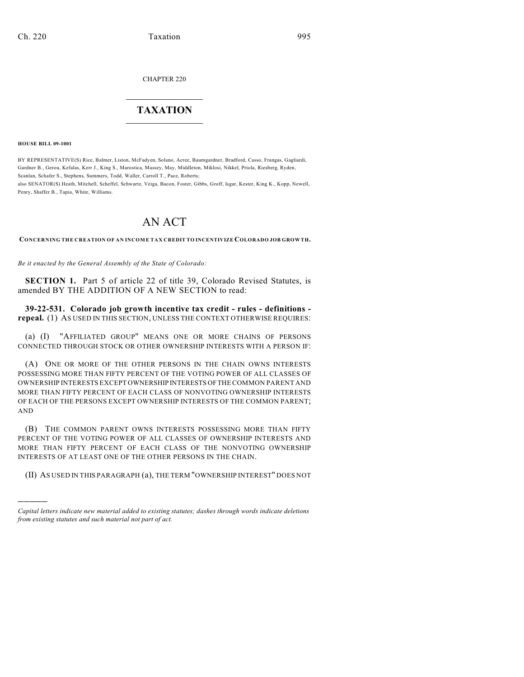CHAPTER 220

## $\overline{\phantom{a}}$  . The set of the set of the set of the set of the set of the set of the set of the set of the set of the set of the set of the set of the set of the set of the set of the set of the set of the set of the set o **TAXATION**  $\_$

**HOUSE BILL 09-1001**

)))))

BY REPRESENTATIVE(S) Rice, Balmer, Liston, McFadyen, Solano, Acree, Baumgardner, Bradford, Casso, Frangas, Gagliardi, Gardner B., Gerou, Kefalas, Kerr J., King S., Marostica, Massey, May, Middleton, Miklosi, Nikkel, Priola, Riesberg, Ryden, Scanlan, Schafer S., Stephens, Summers, Todd, Waller, Carroll T., Pace, Roberts; also SENATOR(S) Heath, Mitchell, Scheffel, Schwartz, Veiga, Bacon, Foster, Gibbs, Groff, Isgar, Kester, King K., Kopp, Newell, Penry, Shaffer B., Tapia, White, Williams.

## AN ACT

**CONCERNING THE CREATION OF AN INCOME TAX CREDIT TO INCENTIVIZE COLORADO JOB GROWTH.**

*Be it enacted by the General Assembly of the State of Colorado:*

**SECTION 1.** Part 5 of article 22 of title 39, Colorado Revised Statutes, is amended BY THE ADDITION OF A NEW SECTION to read:

**39-22-531. Colorado job growth incentive tax credit - rules - definitions repeal.** (1) AS USED IN THIS SECTION, UNLESS THE CONTEXT OTHERWISE REQUIRES:

(a) (I) "AFFILIATED GROUP" MEANS ONE OR MORE CHAINS OF PERSONS CONNECTED THROUGH STOCK OR OTHER OWNERSHIP INTERESTS WITH A PERSON IF:

(A) ONE OR MORE OF THE OTHER PERSONS IN THE CHAIN OWNS INTERESTS POSSESSING MORE THAN FIFTY PERCENT OF THE VOTING POWER OF ALL CLASSES OF OWNERSHIP INTERESTS EXCEPT OWNERSHIP INTERESTS OF THE COMMON PARENT AND MORE THAN FIFTY PERCENT OF EACH CLASS OF NONVOTING OWNERSHIP INTERESTS OF EACH OF THE PERSONS EXCEPT OWNERSHIP INTERESTS OF THE COMMON PARENT; AND

(B) THE COMMON PARENT OWNS INTERESTS POSSESSING MORE THAN FIFTY PERCENT OF THE VOTING POWER OF ALL CLASSES OF OWNERSHIP INTERESTS AND MORE THAN FIFTY PERCENT OF EACH CLASS OF THE NONVOTING OWNERSHIP INTERESTS OF AT LEAST ONE OF THE OTHER PERSONS IN THE CHAIN.

(II) AS USED IN THIS PARAGRAPH (a), THE TERM "OWNERSHIP INTEREST" DOES NOT

*Capital letters indicate new material added to existing statutes; dashes through words indicate deletions from existing statutes and such material not part of act.*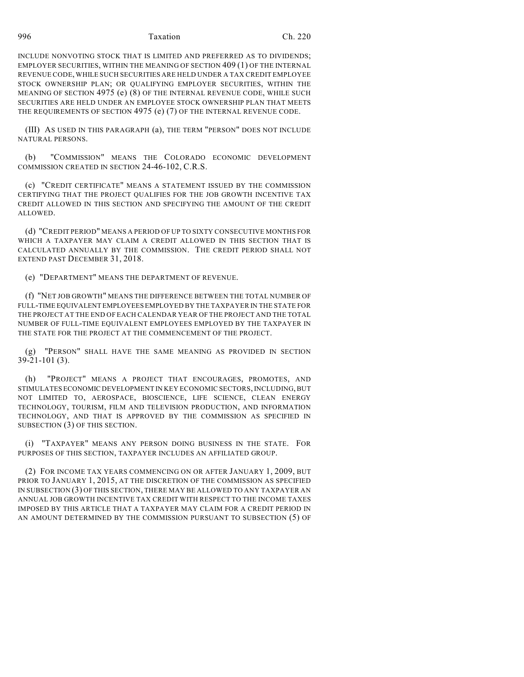996 Taxation Ch. 220

INCLUDE NONVOTING STOCK THAT IS LIMITED AND PREFERRED AS TO DIVIDENDS; EMPLOYER SECURITIES, WITHIN THE MEANING OF SECTION 409 (1) OF THE INTERNAL REVENUE CODE, WHILE SUCH SECURITIES ARE HELD UNDER A TAX CREDIT EMPLOYEE STOCK OWNERSHIP PLAN; OR QUALIFYING EMPLOYER SECURITIES, WITHIN THE MEANING OF SECTION 4975 (e) (8) OF THE INTERNAL REVENUE CODE, WHILE SUCH SECURITIES ARE HELD UNDER AN EMPLOYEE STOCK OWNERSHIP PLAN THAT MEETS THE REQUIREMENTS OF SECTION 4975 (e) (7) OF THE INTERNAL REVENUE CODE.

(III) AS USED IN THIS PARAGRAPH (a), THE TERM "PERSON" DOES NOT INCLUDE NATURAL PERSONS.

(b) "COMMISSION" MEANS THE COLORADO ECONOMIC DEVELOPMENT COMMISSION CREATED IN SECTION 24-46-102, C.R.S.

(c) "CREDIT CERTIFICATE" MEANS A STATEMENT ISSUED BY THE COMMISSION CERTIFYING THAT THE PROJECT QUALIFIES FOR THE JOB GROWTH INCENTIVE TAX CREDIT ALLOWED IN THIS SECTION AND SPECIFYING THE AMOUNT OF THE CREDIT ALLOWED.

(d) "CREDIT PERIOD" MEANS A PERIOD OF UP TO SIXTY CONSECUTIVE MONTHS FOR WHICH A TAXPAYER MAY CLAIM A CREDIT ALLOWED IN THIS SECTION THAT IS CALCULATED ANNUALLY BY THE COMMISSION. THE CREDIT PERIOD SHALL NOT EXTEND PAST DECEMBER 31, 2018.

(e) "DEPARTMENT" MEANS THE DEPARTMENT OF REVENUE.

(f) "NET JOB GROWTH" MEANS THE DIFFERENCE BETWEEN THE TOTAL NUMBER OF FULL-TIME EQUIVALENT EMPLOYEES EMPLOYED BY THE TAXPAYER IN THE STATE FOR THE PROJECT AT THE END OF EACH CALENDAR YEAR OF THE PROJECT AND THE TOTAL NUMBER OF FULL-TIME EQUIVALENT EMPLOYEES EMPLOYED BY THE TAXPAYER IN THE STATE FOR THE PROJECT AT THE COMMENCEMENT OF THE PROJECT.

(g) "PERSON" SHALL HAVE THE SAME MEANING AS PROVIDED IN SECTION 39-21-101 (3).

(h) "PROJECT" MEANS A PROJECT THAT ENCOURAGES, PROMOTES, AND STIMULATES ECONOMIC DEVELOPMENT IN KEY ECONOMIC SECTORS, INCLUDING, BUT NOT LIMITED TO, AEROSPACE, BIOSCIENCE, LIFE SCIENCE, CLEAN ENERGY TECHNOLOGY, TOURISM, FILM AND TELEVISION PRODUCTION, AND INFORMATION TECHNOLOGY, AND THAT IS APPROVED BY THE COMMISSION AS SPECIFIED IN SUBSECTION (3) OF THIS SECTION.

(i) "TAXPAYER" MEANS ANY PERSON DOING BUSINESS IN THE STATE. FOR PURPOSES OF THIS SECTION, TAXPAYER INCLUDES AN AFFILIATED GROUP.

(2) FOR INCOME TAX YEARS COMMENCING ON OR AFTER JANUARY 1, 2009, BUT PRIOR TO JANUARY 1, 2015, AT THE DISCRETION OF THE COMMISSION AS SPECIFIED IN SUBSECTION (3) OF THIS SECTION, THERE MAY BE ALLOWED TO ANY TAXPAYER AN ANNUAL JOB GROWTH INCENTIVE TAX CREDIT WITH RESPECT TO THE INCOME TAXES IMPOSED BY THIS ARTICLE THAT A TAXPAYER MAY CLAIM FOR A CREDIT PERIOD IN AN AMOUNT DETERMINED BY THE COMMISSION PURSUANT TO SUBSECTION (5) OF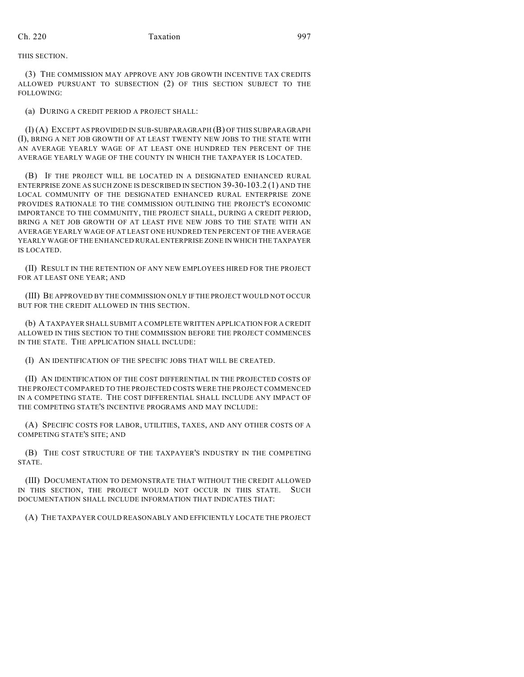THIS SECTION.

(3) THE COMMISSION MAY APPROVE ANY JOB GROWTH INCENTIVE TAX CREDITS ALLOWED PURSUANT TO SUBSECTION (2) OF THIS SECTION SUBJECT TO THE FOLLOWING:

(a) DURING A CREDIT PERIOD A PROJECT SHALL:

(I) (A) EXCEPT AS PROVIDED IN SUB-SUBPARAGRAPH (B) OF THIS SUBPARAGRAPH (I), BRING A NET JOB GROWTH OF AT LEAST TWENTY NEW JOBS TO THE STATE WITH AN AVERAGE YEARLY WAGE OF AT LEAST ONE HUNDRED TEN PERCENT OF THE AVERAGE YEARLY WAGE OF THE COUNTY IN WHICH THE TAXPAYER IS LOCATED.

(B) IF THE PROJECT WILL BE LOCATED IN A DESIGNATED ENHANCED RURAL ENTERPRISE ZONE AS SUCH ZONE IS DESCRIBED IN SECTION 39-30-103.2 (1) AND THE LOCAL COMMUNITY OF THE DESIGNATED ENHANCED RURAL ENTERPRISE ZONE PROVIDES RATIONALE TO THE COMMISSION OUTLINING THE PROJECT'S ECONOMIC IMPORTANCE TO THE COMMUNITY, THE PROJECT SHALL, DURING A CREDIT PERIOD, BRING A NET JOB GROWTH OF AT LEAST FIVE NEW JOBS TO THE STATE WITH AN AVERAGE YEARLY WAGE OF AT LEAST ONE HUNDRED TEN PERCENT OF THE AVERAGE YEARLY WAGE OF THE ENHANCED RURAL ENTERPRISE ZONE IN WHICH THE TAXPAYER IS LOCATED.

(II) RESULT IN THE RETENTION OF ANY NEW EMPLOYEES HIRED FOR THE PROJECT FOR AT LEAST ONE YEAR; AND

(III) BE APPROVED BY THE COMMISSION ONLY IF THE PROJECT WOULD NOT OCCUR BUT FOR THE CREDIT ALLOWED IN THIS SECTION.

(b) A TAXPAYER SHALL SUBMIT A COMPLETE WRITTEN APPLICATION FOR A CREDIT ALLOWED IN THIS SECTION TO THE COMMISSION BEFORE THE PROJECT COMMENCES IN THE STATE. THE APPLICATION SHALL INCLUDE:

(I) AN IDENTIFICATION OF THE SPECIFIC JOBS THAT WILL BE CREATED.

(II) AN IDENTIFICATION OF THE COST DIFFERENTIAL IN THE PROJECTED COSTS OF THE PROJECT COMPARED TO THE PROJECTED COSTS WERE THE PROJECT COMMENCED IN A COMPETING STATE. THE COST DIFFERENTIAL SHALL INCLUDE ANY IMPACT OF THE COMPETING STATE'S INCENTIVE PROGRAMS AND MAY INCLUDE:

(A) SPECIFIC COSTS FOR LABOR, UTILITIES, TAXES, AND ANY OTHER COSTS OF A COMPETING STATE'S SITE; AND

(B) THE COST STRUCTURE OF THE TAXPAYER'S INDUSTRY IN THE COMPETING STATE.

(III) DOCUMENTATION TO DEMONSTRATE THAT WITHOUT THE CREDIT ALLOWED IN THIS SECTION, THE PROJECT WOULD NOT OCCUR IN THIS STATE. SUCH DOCUMENTATION SHALL INCLUDE INFORMATION THAT INDICATES THAT:

(A) THE TAXPAYER COULD REASONABLY AND EFFICIENTLY LOCATE THE PROJECT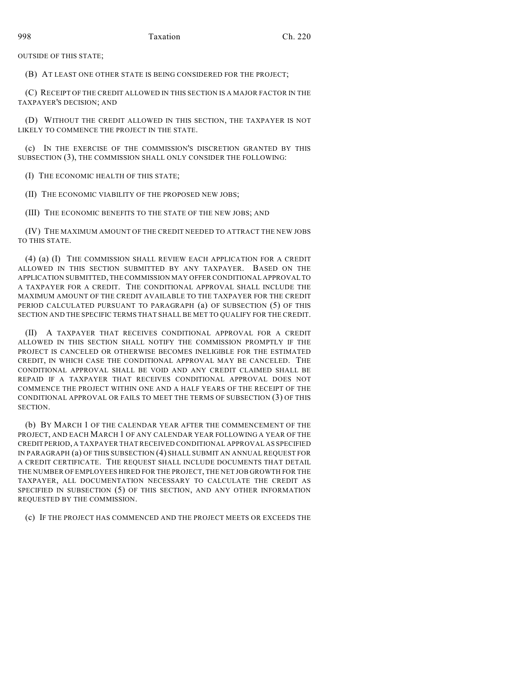OUTSIDE OF THIS STATE;

(B) AT LEAST ONE OTHER STATE IS BEING CONSIDERED FOR THE PROJECT;

(C) RECEIPT OF THE CREDIT ALLOWED IN THIS SECTION IS A MAJOR FACTOR IN THE TAXPAYER'S DECISION; AND

(D) WITHOUT THE CREDIT ALLOWED IN THIS SECTION, THE TAXPAYER IS NOT LIKELY TO COMMENCE THE PROJECT IN THE STATE.

(c) IN THE EXERCISE OF THE COMMISSION'S DISCRETION GRANTED BY THIS SUBSECTION (3), THE COMMISSION SHALL ONLY CONSIDER THE FOLLOWING:

(I) THE ECONOMIC HEALTH OF THIS STATE;

(II) THE ECONOMIC VIABILITY OF THE PROPOSED NEW JOBS;

(III) THE ECONOMIC BENEFITS TO THE STATE OF THE NEW JOBS; AND

(IV) THE MAXIMUM AMOUNT OF THE CREDIT NEEDED TO ATTRACT THE NEW JOBS TO THIS STATE.

(4) (a) (I) THE COMMISSION SHALL REVIEW EACH APPLICATION FOR A CREDIT ALLOWED IN THIS SECTION SUBMITTED BY ANY TAXPAYER. BASED ON THE APPLICATION SUBMITTED, THE COMMISSION MAY OFFER CONDITIONAL APPROVAL TO A TAXPAYER FOR A CREDIT. THE CONDITIONAL APPROVAL SHALL INCLUDE THE MAXIMUM AMOUNT OF THE CREDIT AVAILABLE TO THE TAXPAYER FOR THE CREDIT PERIOD CALCULATED PURSUANT TO PARAGRAPH (a) OF SUBSECTION (5) OF THIS SECTION AND THE SPECIFIC TERMS THAT SHALL BE MET TO QUALIFY FOR THE CREDIT.

(II) A TAXPAYER THAT RECEIVES CONDITIONAL APPROVAL FOR A CREDIT ALLOWED IN THIS SECTION SHALL NOTIFY THE COMMISSION PROMPTLY IF THE PROJECT IS CANCELED OR OTHERWISE BECOMES INELIGIBLE FOR THE ESTIMATED CREDIT, IN WHICH CASE THE CONDITIONAL APPROVAL MAY BE CANCELED. THE CONDITIONAL APPROVAL SHALL BE VOID AND ANY CREDIT CLAIMED SHALL BE REPAID IF A TAXPAYER THAT RECEIVES CONDITIONAL APPROVAL DOES NOT COMMENCE THE PROJECT WITHIN ONE AND A HALF YEARS OF THE RECEIPT OF THE CONDITIONAL APPROVAL OR FAILS TO MEET THE TERMS OF SUBSECTION (3) OF THIS SECTION.

(b) BY MARCH 1 OF THE CALENDAR YEAR AFTER THE COMMENCEMENT OF THE PROJECT, AND EACH MARCH 1 OF ANY CALENDAR YEAR FOLLOWING A YEAR OF THE CREDIT PERIOD, A TAXPAYER THAT RECEIVED CONDITIONAL APPROVAL AS SPECIFIED IN PARAGRAPH (a) OF THIS SUBSECTION (4) SHALL SUBMIT AN ANNUAL REQUEST FOR A CREDIT CERTIFICATE. THE REQUEST SHALL INCLUDE DOCUMENTS THAT DETAIL THE NUMBER OF EMPLOYEES HIRED FOR THE PROJECT, THE NET JOB GROWTH FOR THE TAXPAYER, ALL DOCUMENTATION NECESSARY TO CALCULATE THE CREDIT AS SPECIFIED IN SUBSECTION (5) OF THIS SECTION, AND ANY OTHER INFORMATION REQUESTED BY THE COMMISSION.

(c) IF THE PROJECT HAS COMMENCED AND THE PROJECT MEETS OR EXCEEDS THE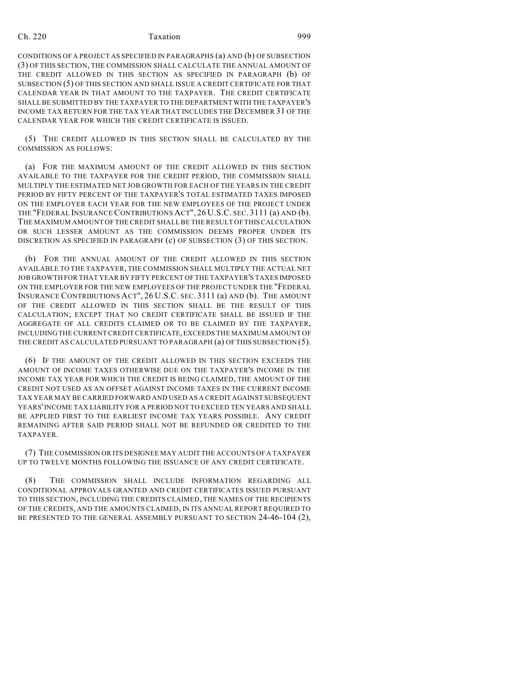## Ch. 220 Taxation 999

CONDITIONS OF A PROJECT AS SPECIFIED IN PARAGRAPHS (a) AND (b) OF SUBSECTION (3) OF THIS SECTION, THE COMMISSION SHALL CALCULATE THE ANNUAL AMOUNT OF THE CREDIT ALLOWED IN THIS SECTION AS SPECIFIED IN PARAGRAPH (b) OF SUBSECTION (5) OF THIS SECTION AND SHALL ISSUE A CREDIT CERTIFICATE FOR THAT CALENDAR YEAR IN THAT AMOUNT TO THE TAXPAYER. THE CREDIT CERTIFICATE SHALL BE SUBMITTED BY THE TAXPAYER TO THE DEPARTMENT WITH THE TAXPAYER'S INCOME TAX RETURN FOR THE TAX YEAR THAT INCLUDES THE DECEMBER 31 OF THE CALENDAR YEAR FOR WHICH THE CREDIT CERTIFICATE IS ISSUED.

(5) THE CREDIT ALLOWED IN THIS SECTION SHALL BE CALCULATED BY THE COMMISSION AS FOLLOWS:

(a) FOR THE MAXIMUM AMOUNT OF THE CREDIT ALLOWED IN THIS SECTION AVAILABLE TO THE TAXPAYER FOR THE CREDIT PERIOD, THE COMMISSION SHALL MULTIPLY THE ESTIMATED NET JOB GROWTH FOR EACH OF THE YEARS IN THE CREDIT PERIOD BY FIFTY PERCENT OF THE TAXPAYER'S TOTAL ESTIMATED TAXES IMPOSED ON THE EMPLOYER EACH YEAR FOR THE NEW EMPLOYEES OF THE PROJECT UNDER THE "FEDERAL INSURANCE CONTRIBUTIONS ACT", 26 U.S.C. SEC. 3111 (a) AND (b). THE MAXIMUM AMOUNT OF THE CREDIT SHALL BE THE RESULT OF THIS CALCULATION OR SUCH LESSER AMOUNT AS THE COMMISSION DEEMS PROPER UNDER ITS DISCRETION AS SPECIFIED IN PARAGRAPH (c) OF SUBSECTION (3) OF THIS SECTION.

(b) FOR THE ANNUAL AMOUNT OF THE CREDIT ALLOWED IN THIS SECTION AVAILABLE TO THE TAXPAYER, THE COMMISSION SHALL MULTIPLY THE ACTUAL NET JOB GROWTH FOR THAT YEAR BY FIFTY PERCENT OF THE TAXPAYER'S TAXES IMPOSED ON THE EMPLOYER FOR THE NEW EMPLOYEES OF THE PROJECT UNDER THE "FEDERAL INSURANCE CONTRIBUTIONS ACT", 26 U.S.C. SEC. 3111 (a) AND (b). THE AMOUNT OF THE CREDIT ALLOWED IN THIS SECTION SHALL BE THE RESULT OF THIS CALCULATION; EXCEPT THAT NO CREDIT CERTIFICATE SHALL BE ISSUED IF THE AGGREGATE OF ALL CREDITS CLAIMED OR TO BE CLAIMED BY THE TAXPAYER, INCLUDING THE CURRENT CREDIT CERTIFICATE, EXCEEDS THE MAXIMUM AMOUNT OF THE CREDIT AS CALCULATED PURSUANT TO PARAGRAPH (a) OF THIS SUBSECTION (5).

(6) IF THE AMOUNT OF THE CREDIT ALLOWED IN THIS SECTION EXCEEDS THE AMOUNT OF INCOME TAXES OTHERWISE DUE ON THE TAXPAYER'S INCOME IN THE INCOME TAX YEAR FOR WHICH THE CREDIT IS BEING CLAIMED, THE AMOUNT OF THE CREDIT NOT USED AS AN OFFSET AGAINST INCOME TAXES IN THE CURRENT INCOME TAX YEAR MAY BE CARRIED FORWARD AND USED AS A CREDIT AGAINST SUBSEQUENT YEARS' INCOME TAX LIABILITY FOR A PERIOD NOT TO EXCEED TEN YEARS AND SHALL BE APPLIED FIRST TO THE EARLIEST INCOME TAX YEARS POSSIBLE. ANY CREDIT REMAINING AFTER SAID PERIOD SHALL NOT BE REFUNDED OR CREDITED TO THE TAXPAYER.

(7) THE COMMISSION OR ITS DESIGNEE MAY AUDIT THE ACCOUNTS OF A TAXPAYER UP TO TWELVE MONTHS FOLLOWING THE ISSUANCE OF ANY CREDIT CERTIFICATE.

(8) THE COMMISSION SHALL INCLUDE INFORMATION REGARDING ALL CONDITIONAL APPROVALS GRANTED AND CREDIT CERTIFICATES ISSUED PURSUANT TO THIS SECTION, INCLUDING THE CREDITS CLAIMED, THE NAMES OF THE RECIPIENTS OF THE CREDITS, AND THE AMOUNTS CLAIMED, IN ITS ANNUAL REPORT REQUIRED TO BE PRESENTED TO THE GENERAL ASSEMBLY PURSUANT TO SECTION 24-46-104 (2),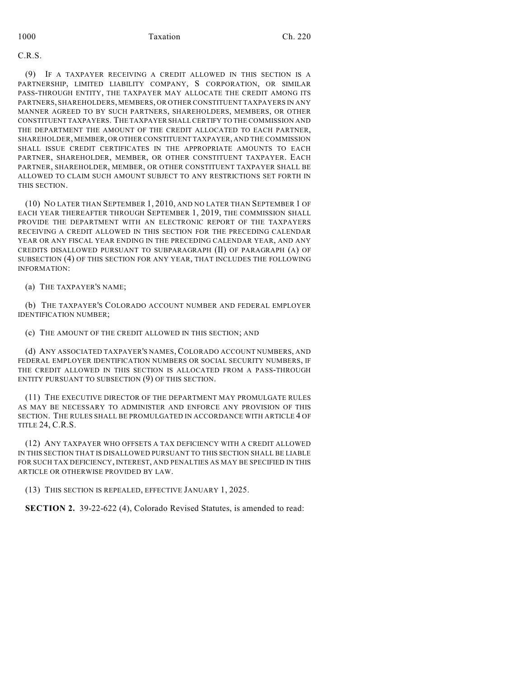C.R.S.

(9) IF A TAXPAYER RECEIVING A CREDIT ALLOWED IN THIS SECTION IS A PARTNERSHIP, LIMITED LIABILITY COMPANY, S CORPORATION, OR SIMILAR PASS-THROUGH ENTITY, THE TAXPAYER MAY ALLOCATE THE CREDIT AMONG ITS PARTNERS, SHAREHOLDERS, MEMBERS, OR OTHER CONSTITUENT TAXPAYERS IN ANY MANNER AGREED TO BY SUCH PARTNERS, SHAREHOLDERS, MEMBERS, OR OTHER CONSTITUENT TAXPAYERS. THE TAXPAYER SHALL CERTIFY TO THE COMMISSION AND THE DEPARTMENT THE AMOUNT OF THE CREDIT ALLOCATED TO EACH PARTNER, SHAREHOLDER, MEMBER, OR OTHER CONSTITUENT TAXPAYER, AND THE COMMISSION SHALL ISSUE CREDIT CERTIFICATES IN THE APPROPRIATE AMOUNTS TO EACH PARTNER, SHAREHOLDER, MEMBER, OR OTHER CONSTITUENT TAXPAYER. EACH PARTNER, SHAREHOLDER, MEMBER, OR OTHER CONSTITUENT TAXPAYER SHALL BE ALLOWED TO CLAIM SUCH AMOUNT SUBJECT TO ANY RESTRICTIONS SET FORTH IN THIS SECTION.

(10) NO LATER THAN SEPTEMBER 1, 2010, AND NO LATER THAN SEPTEMBER 1 OF EACH YEAR THEREAFTER THROUGH SEPTEMBER 1, 2019, THE COMMISSION SHALL PROVIDE THE DEPARTMENT WITH AN ELECTRONIC REPORT OF THE TAXPAYERS RECEIVING A CREDIT ALLOWED IN THIS SECTION FOR THE PRECEDING CALENDAR YEAR OR ANY FISCAL YEAR ENDING IN THE PRECEDING CALENDAR YEAR, AND ANY CREDITS DISALLOWED PURSUANT TO SUBPARAGRAPH (II) OF PARAGRAPH (A) OF SUBSECTION (4) OF THIS SECTION FOR ANY YEAR, THAT INCLUDES THE FOLLOWING INFORMATION:

(a) THE TAXPAYER'S NAME;

(b) THE TAXPAYER'S COLORADO ACCOUNT NUMBER AND FEDERAL EMPLOYER IDENTIFICATION NUMBER;

(c) THE AMOUNT OF THE CREDIT ALLOWED IN THIS SECTION; AND

(d) ANY ASSOCIATED TAXPAYER'S NAMES, COLORADO ACCOUNT NUMBERS, AND FEDERAL EMPLOYER IDENTIFICATION NUMBERS OR SOCIAL SECURITY NUMBERS, IF THE CREDIT ALLOWED IN THIS SECTION IS ALLOCATED FROM A PASS-THROUGH ENTITY PURSUANT TO SUBSECTION (9) OF THIS SECTION.

(11) THE EXECUTIVE DIRECTOR OF THE DEPARTMENT MAY PROMULGATE RULES AS MAY BE NECESSARY TO ADMINISTER AND ENFORCE ANY PROVISION OF THIS SECTION. THE RULES SHALL BE PROMULGATED IN ACCORDANCE WITH ARTICLE 4 OF TITLE 24, C.R.S.

(12) ANY TAXPAYER WHO OFFSETS A TAX DEFICIENCY WITH A CREDIT ALLOWED IN THIS SECTION THAT IS DISALLOWED PURSUANT TO THIS SECTION SHALL BE LIABLE FOR SUCH TAX DEFICIENCY, INTEREST, AND PENALTIES AS MAY BE SPECIFIED IN THIS ARTICLE OR OTHERWISE PROVIDED BY LAW.

(13) THIS SECTION IS REPEALED, EFFECTIVE JANUARY 1, 2025.

**SECTION 2.** 39-22-622 (4), Colorado Revised Statutes, is amended to read: